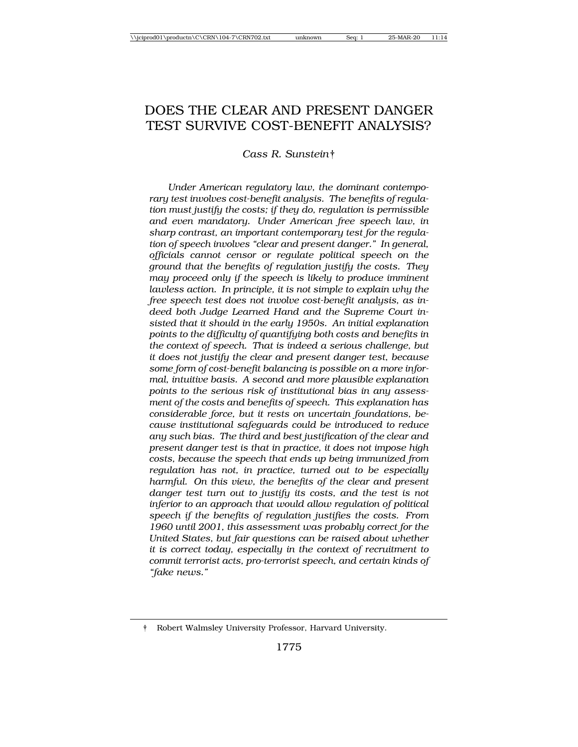# DOES THE CLEAR AND PRESENT DANGER TEST SURVIVE COST-BENEFIT ANALYSIS?

*Cass R. Sunstein*†

*Under American regulatory law, the dominant contemporary test involves cost-benefit analysis. The benefits of regulation must justify the costs; if they do, regulation is permissible and even mandatory. Under American free speech law, in sharp contrast, an important contemporary test for the regulation of speech involves "clear and present danger." In general, officials cannot censor or regulate political speech on the ground that the benefits of regulation justify the costs. They may proceed only if the speech is likely to produce imminent lawless action. In principle, it is not simple to explain why the free speech test does not involve cost-benefit analysis, as indeed both Judge Learned Hand and the Supreme Court insisted that it should in the early 1950s. An initial explanation points to the difficulty of quantifying both costs and benefits in the context of speech. That is indeed a serious challenge, but it does not justify the clear and present danger test, because some form of cost-benefit balancing is possible on a more informal, intuitive basis. A second and more plausible explanation points to the serious risk of institutional bias in any assessment of the costs and benefits of speech. This explanation has considerable force, but it rests on uncertain foundations, because institutional safeguards could be introduced to reduce any such bias. The third and best justification of the clear and present danger test is that in practice, it does not impose high costs, because the speech that ends up being immunized from regulation has not, in practice, turned out to be especially harmful. On this view, the benefits of the clear and present danger test turn out to justify its costs, and the test is not inferior to an approach that would allow regulation of political speech if the benefits of regulation justifies the costs. From 1960 until 2001, this assessment was probably correct for the United States, but fair questions can be raised about whether it is correct today, especially in the context of recruitment to commit terrorist acts, pro-terrorist speech, and certain kinds of "fake news."*

<sup>†</sup> Robert Walmsley University Professor, Harvard University.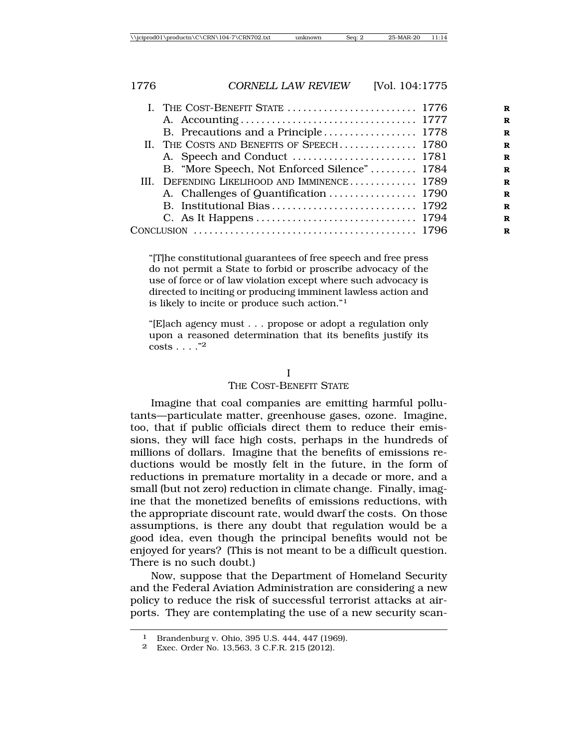|  | I. THE COST-BENEFIT STATE  1776              |  |
|--|----------------------------------------------|--|
|  |                                              |  |
|  |                                              |  |
|  | II. THE COSTS AND BENEFITS OF SPEECH 1780    |  |
|  |                                              |  |
|  | B. "More Speech, Not Enforced Silence" 1784  |  |
|  | III. DEFENDING LIKELIHOOD AND IMMINENCE 1789 |  |
|  |                                              |  |
|  |                                              |  |
|  |                                              |  |
|  |                                              |  |
|  |                                              |  |

"[T]he constitutional guarantees of free speech and free press do not permit a State to forbid or proscribe advocacy of the use of force or of law violation except where such advocacy is directed to inciting or producing imminent lawless action and is likely to incite or produce such action."<sup>1</sup>

"[E]ach agency must . . . propose or adopt a regulation only upon a reasoned determination that its benefits justify its  $\cosh 2$ 

#### I

#### THE COST-BENEFIT STATE

Imagine that coal companies are emitting harmful pollutants—particulate matter, greenhouse gases, ozone. Imagine, too, that if public officials direct them to reduce their emissions, they will face high costs, perhaps in the hundreds of millions of dollars. Imagine that the benefits of emissions reductions would be mostly felt in the future, in the form of reductions in premature mortality in a decade or more, and a small (but not zero) reduction in climate change. Finally, imagine that the monetized benefits of emissions reductions, with the appropriate discount rate, would dwarf the costs. On those assumptions, is there any doubt that regulation would be a good idea, even though the principal benefits would not be enjoyed for years? (This is not meant to be a difficult question. There is no such doubt.)

Now, suppose that the Department of Homeland Security and the Federal Aviation Administration are considering a new policy to reduce the risk of successful terrorist attacks at airports. They are contemplating the use of a new security scan-

<sup>1</sup> Brandenburg v. Ohio, 395 U.S. 444, 447 (1969).

<sup>2</sup> Exec. Order No. 13,563, 3 C.F.R. 215 (2012).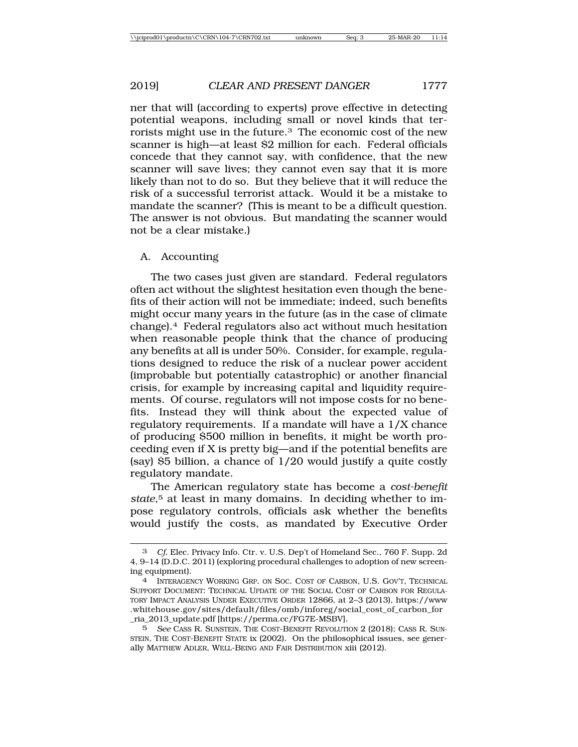ner that will (according to experts) prove effective in detecting potential weapons, including small or novel kinds that terrorists might use in the future.3 The economic cost of the new scanner is high—at least \$2 million for each. Federal officials concede that they cannot say, with confidence, that the new scanner will save lives; they cannot even say that it is more likely than not to do so. But they believe that it will reduce the risk of a successful terrorist attack. Would it be a mistake to mandate the scanner? (This is meant to be a difficult question. The answer is not obvious. But mandating the scanner would not be a clear mistake.)

# A. Accounting

The two cases just given are standard. Federal regulators often act without the slightest hesitation even though the benefits of their action will not be immediate; indeed, such benefits might occur many years in the future (as in the case of climate change).4 Federal regulators also act without much hesitation when reasonable people think that the chance of producing any benefits at all is under 50%. Consider, for example, regulations designed to reduce the risk of a nuclear power accident (improbable but potentially catastrophic) or another financial crisis, for example by increasing capital and liquidity requirements. Of course, regulators will not impose costs for no benefits. Instead they will think about the expected value of regulatory requirements. If a mandate will have a 1/X chance of producing \$500 million in benefits, it might be worth proceeding even if X is pretty big—and if the potential benefits are (say) \$5 billion, a chance of 1/20 would justify a quite costly regulatory mandate.

The American regulatory state has become a *cost-benefit* state,<sup>5</sup> at least in many domains. In deciding whether to impose regulatory controls, officials ask whether the benefits would justify the costs, as mandated by Executive Order

Cf. Elec. Privacy Info. Ctr. v. U.S. Dep't of Homeland Sec., 760 F. Supp. 2d 4, 9–14 (D.D.C. 2011) (exploring procedural challenges to adoption of new screening equipment).

<sup>4</sup> INTERAGENCY WORKING GRP. ON SOC. COST OF CARBON, U.S. GOV'T, TECHNICAL SUPPORT DOCUMENT: TECHNICAL UPDATE OF THE SOCIAL COST OF CARBON FOR REGULA-TORY IMPACT ANALYSIS UNDER EXECUTIVE ORDER 12866, at 2–3 (2013), https://www .whitehouse.gov/sites/default/files/omb/inforeg/social\_cost\_of\_carbon\_for \_ria\_2013\_update.pdf [https://perma.cc/FG7E-MSBV].

<sup>5</sup> *See* CASS R. SUNSTEIN, THE COST-BENEFIT REVOLUTION 2 (2018); CASS R. SUN-STEIN, THE COST-BENEFIT STATE ix (2002). On the philosophical issues, see generally MATTHEW ADLER, WELL-BEING AND FAIR DISTRIBUTION xiii (2012).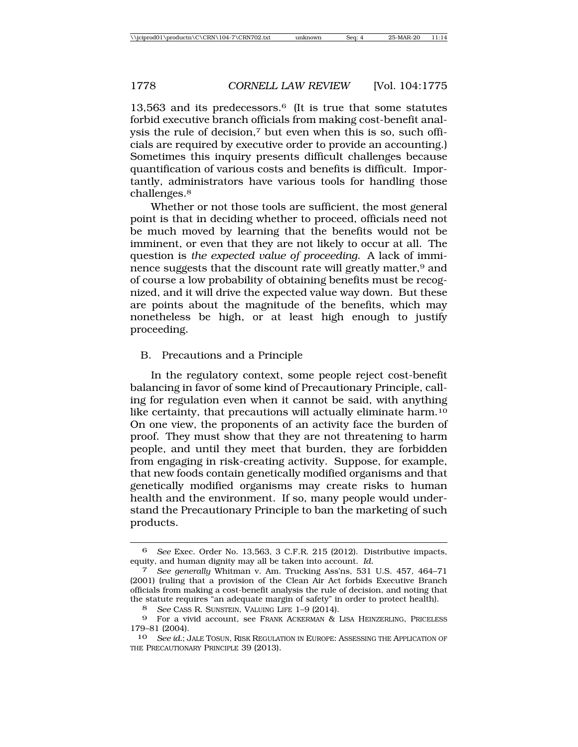$13,563$  and its predecessors.<sup>6</sup> (It is true that some statutes forbid executive branch officials from making cost-benefit analysis the rule of decision,7 but even when this is so, such officials are required by executive order to provide an accounting.) Sometimes this inquiry presents difficult challenges because quantification of various costs and benefits is difficult. Importantly, administrators have various tools for handling those challenges.<sup>8</sup>

Whether or not those tools are sufficient, the most general point is that in deciding whether to proceed, officials need not be much moved by learning that the benefits would not be imminent, or even that they are not likely to occur at all. The question is *the expected value of proceeding*. A lack of imminence suggests that the discount rate will greatly matter,<sup>9</sup> and of course a low probability of obtaining benefits must be recognized, and it will drive the expected value way down. But these are points about the magnitude of the benefits, which may nonetheless be high, or at least high enough to justify proceeding.

## B. Precautions and a Principle

In the regulatory context, some people reject cost-benefit balancing in favor of some kind of Precautionary Principle, calling for regulation even when it cannot be said, with anything like certainty, that precautions will actually eliminate harm.10 On one view, the proponents of an activity face the burden of proof. They must show that they are not threatening to harm people, and until they meet that burden, they are forbidden from engaging in risk-creating activity. Suppose, for example, that new foods contain genetically modified organisms and that genetically modified organisms may create risks to human health and the environment. If so, many people would understand the Precautionary Principle to ban the marketing of such products.

<sup>6</sup> *See* Exec. Order No. 13,563, 3 C.F.R. 215 (2012). Distributive impacts, equity, and human dignity may all be taken into account. *Id.*

<sup>7</sup> *See generally* Whitman v. Am. Trucking Ass'ns, 531 U.S. 457, 464–71 (2001) (ruling that a provision of the Clean Air Act forbids Executive Branch officials from making a cost-benefit analysis the rule of decision, and noting that the statute requires "an adequate margin of safety" in order to protect health).

<sup>8</sup> *See* CASS R. SUNSTEIN, VALUING LIFE 1–9 (2014).

<sup>9</sup> For a vivid account, see FRANK ACKERMAN & LISA HEINZERLING, PRICELESS 179–81 (2004).

<sup>10</sup> *See id.*; JALE TOSUN, RISK REGULATION IN EUROPE: ASSESSING THE APPLICATION OF THE PRECAUTIONARY PRINCIPLE 39 (2013).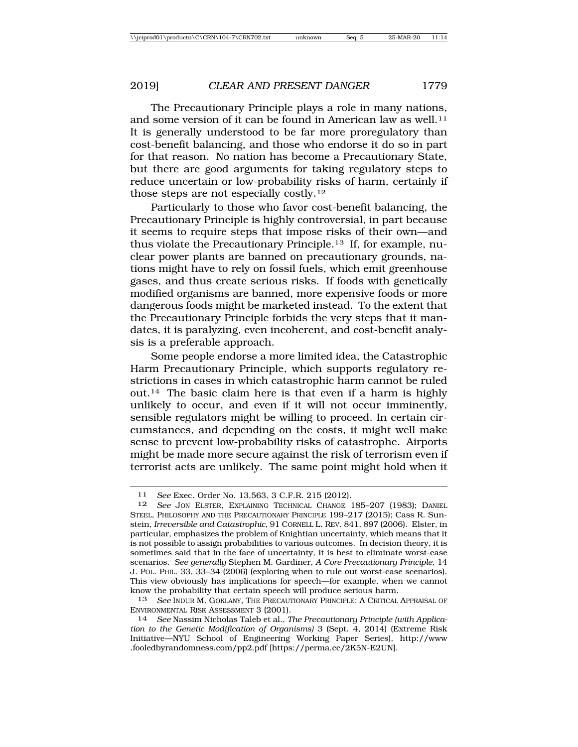The Precautionary Principle plays a role in many nations, and some version of it can be found in American law as well.<sup>11</sup> It is generally understood to be far more proregulatory than cost-benefit balancing, and those who endorse it do so in part for that reason. No nation has become a Precautionary State, but there are good arguments for taking regulatory steps to reduce uncertain or low-probability risks of harm, certainly if those steps are not especially costly.12

Particularly to those who favor cost-benefit balancing, the Precautionary Principle is highly controversial, in part because it seems to require steps that impose risks of their own—and thus violate the Precautionary Principle.13 If, for example, nuclear power plants are banned on precautionary grounds, nations might have to rely on fossil fuels, which emit greenhouse gases, and thus create serious risks. If foods with genetically modified organisms are banned, more expensive foods or more dangerous foods might be marketed instead. To the extent that the Precautionary Principle forbids the very steps that it mandates, it is paralyzing, even incoherent, and cost-benefit analysis is a preferable approach.

Some people endorse a more limited idea, the Catastrophic Harm Precautionary Principle, which supports regulatory restrictions in cases in which catastrophic harm cannot be ruled out.14 The basic claim here is that even if a harm is highly unlikely to occur, and even if it will not occur imminently, sensible regulators might be willing to proceed. In certain circumstances, and depending on the costs, it might well make sense to prevent low-probability risks of catastrophe. Airports might be made more secure against the risk of terrorism even if terrorist acts are unlikely. The same point might hold when it

<sup>11</sup> *See* Exec. Order No. 13,563, 3 C.F.R. 215 (2012).

<sup>12</sup> *See* JON ELSTER, EXPLAINING TECHNICAL CHANGE 185–207 (1983); DANIEL STEEL, PHILOSOPHY AND THE PRECAUTIONARY PRINCIPLE 199–217 (2015); Cass R. Sunstein, *Irreversible and Catastrophic*, 91 CORNELL L. REV. 841, 897 (2006). Elster, in particular, emphasizes the problem of Knightian uncertainty, which means that it is not possible to assign probabilities to various outcomes. In decision theory, it is sometimes said that in the face of uncertainty, it is best to eliminate worst-case scenarios. *See generally* Stephen M. Gardiner, *A Core Precautionary Principle*, 14 J. POL. PHIL. 33, 33–34 (2006) (exploring when to rule out worst-case scenarios). This view obviously has implications for speech—for example, when we cannot know the probability that certain speech will produce serious harm.

<sup>13</sup> *See* INDUR M. GOKLANY, THE PRECAUTIONARY PRINCIPLE: A CRITICAL APPRAISAL OF ENVIRONMENTAL RISK ASSESSMENT 3 (2001).

<sup>14</sup> *See* Nassim Nicholas Taleb et al., *The Precautionary Principle (with Application to the Genetic Modification of Organisms)* 3 (Sept. 4, 2014) (Extreme Risk Initiative—NYU School of Engineering Working Paper Series), http://www .fooledbyrandomness.com/pp2.pdf [https://perma.cc/2K5N-E2UN].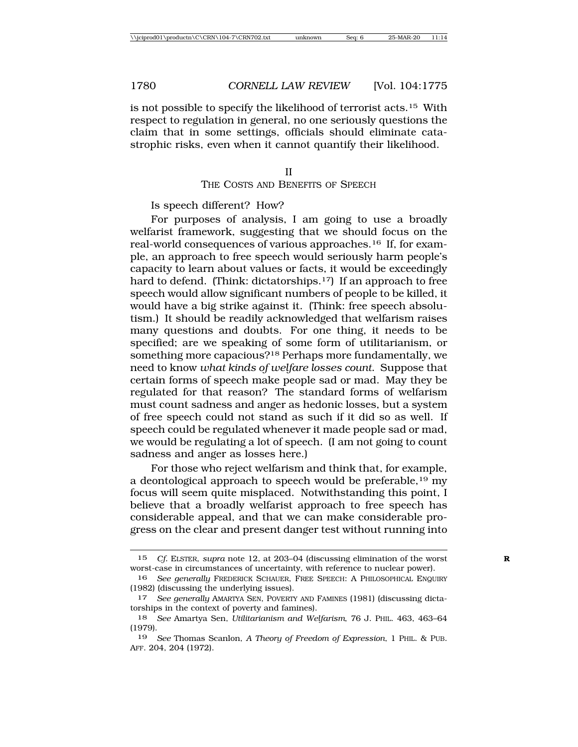is not possible to specify the likelihood of terrorist acts.15 With respect to regulation in general, no one seriously questions the claim that in some settings, officials should eliminate catastrophic risks, even when it cannot quantify their likelihood.

#### II

# THE COSTS AND BENEFITS OF SPEECH

Is speech different? How?

For purposes of analysis, I am going to use a broadly welfarist framework, suggesting that we should focus on the real-world consequences of various approaches.16 If, for example, an approach to free speech would seriously harm people's capacity to learn about values or facts, it would be exceedingly hard to defend. (Think: dictatorships.<sup>17</sup>) If an approach to free speech would allow significant numbers of people to be killed, it would have a big strike against it. (Think: free speech absolutism.) It should be readily acknowledged that welfarism raises many questions and doubts. For one thing, it needs to be specified; are we speaking of some form of utilitarianism, or something more capacious?18 Perhaps more fundamentally, we need to know *what kinds of welfare losses count*. Suppose that certain forms of speech make people sad or mad. May they be regulated for that reason? The standard forms of welfarism must count sadness and anger as hedonic losses, but a system of free speech could not stand as such if it did so as well. If speech could be regulated whenever it made people sad or mad, we would be regulating a lot of speech. (I am not going to count sadness and anger as losses here.)

For those who reject welfarism and think that, for example, a deontological approach to speech would be preferable,  $^{19}$  my focus will seem quite misplaced. Notwithstanding this point, I believe that a broadly welfarist approach to free speech has considerable appeal, and that we can make considerable progress on the clear and present danger test without running into

<sup>15</sup> *Cf.* ELSTER, *supra* note 12, at 203–04 (discussing elimination of the worst **R** worst-case in circumstances of uncertainty, with reference to nuclear power).

<sup>16</sup> *See generally* FREDERICK SCHAUER, FREE SPEECH: A PHILOSOPHICAL ENQUIRY (1982) (discussing the underlying issues).

<sup>17</sup> *See generally* AMARTYA SEN, POVERTY AND FAMINES (1981) (discussing dictatorships in the context of poverty and famines).

<sup>18</sup> *See* Amartya Sen, *Utilitarianism and Welfarism*, 76 J. PHIL. 463, 463–64 (1979).

<sup>19</sup> *See* Thomas Scanlon, *A Theory of Freedom of Expression*, 1 PHIL. & PUB. AFF. 204, 204 (1972).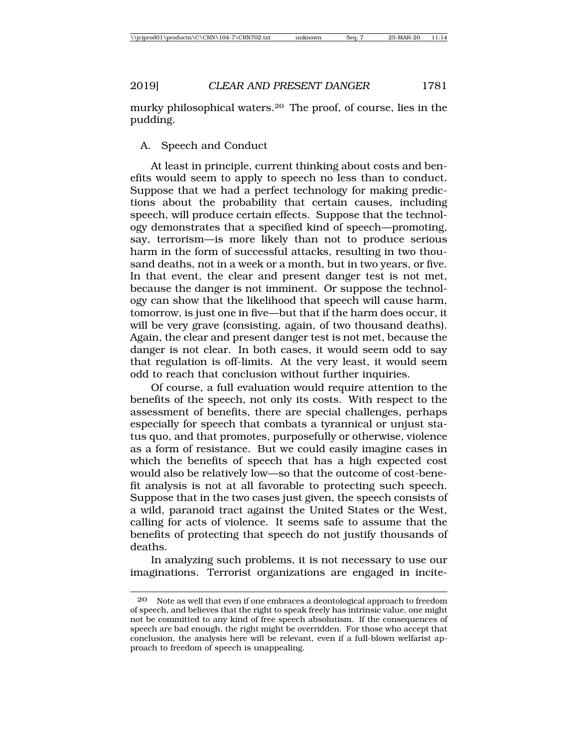murky philosophical waters.20 The proof, of course, lies in the pudding.

# A. Speech and Conduct

At least in principle, current thinking about costs and benefits would seem to apply to speech no less than to conduct. Suppose that we had a perfect technology for making predictions about the probability that certain causes, including speech, will produce certain effects. Suppose that the technology demonstrates that a specified kind of speech—promoting, say, terrorism—is more likely than not to produce serious harm in the form of successful attacks, resulting in two thousand deaths, not in a week or a month, but in two years, or five. In that event, the clear and present danger test is not met, because the danger is not imminent. Or suppose the technology can show that the likelihood that speech will cause harm, tomorrow, is just one in five—but that if the harm does occur, it will be very grave (consisting, again, of two thousand deaths). Again, the clear and present danger test is not met, because the danger is not clear. In both cases, it would seem odd to say that regulation is off-limits. At the very least, it would seem odd to reach that conclusion without further inquiries.

Of course, a full evaluation would require attention to the benefits of the speech, not only its costs. With respect to the assessment of benefits, there are special challenges, perhaps especially for speech that combats a tyrannical or unjust status quo, and that promotes, purposefully or otherwise, violence as a form of resistance. But we could easily imagine cases in which the benefits of speech that has a high expected cost would also be relatively low—so that the outcome of cost-benefit analysis is not at all favorable to protecting such speech. Suppose that in the two cases just given, the speech consists of a wild, paranoid tract against the United States or the West, calling for acts of violence. It seems safe to assume that the benefits of protecting that speech do not justify thousands of deaths.

In analyzing such problems, it is not necessary to use our imaginations. Terrorist organizations are engaged in incite-

<sup>20</sup> Note as well that even if one embraces a deontological approach to freedom of speech, and believes that the right to speak freely has intrinsic value, one might not be committed to any kind of free speech absolutism. If the consequences of speech are bad enough, the right might be overridden. For those who accept that conclusion, the analysis here will be relevant, even if a full-blown welfarist approach to freedom of speech is unappealing.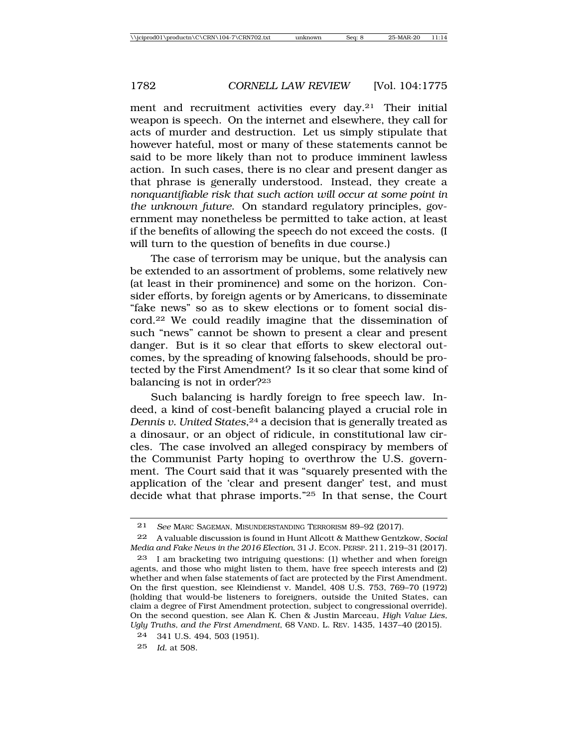ment and recruitment activities every day.21 Their initial weapon is speech. On the internet and elsewhere, they call for acts of murder and destruction. Let us simply stipulate that however hateful, most or many of these statements cannot be said to be more likely than not to produce imminent lawless action. In such cases, there is no clear and present danger as that phrase is generally understood. Instead, they create a *nonquantifiable risk that such action will occur at some point in the unknown future*. On standard regulatory principles, government may nonetheless be permitted to take action, at least if the benefits of allowing the speech do not exceed the costs. (I will turn to the question of benefits in due course.)

The case of terrorism may be unique, but the analysis can be extended to an assortment of problems, some relatively new (at least in their prominence) and some on the horizon. Consider efforts, by foreign agents or by Americans, to disseminate "fake news" so as to skew elections or to foment social discord.22 We could readily imagine that the dissemination of such "news" cannot be shown to present a clear and present danger. But is it so clear that efforts to skew electoral outcomes, by the spreading of knowing falsehoods, should be protected by the First Amendment? Is it so clear that some kind of balancing is not in order?23

Such balancing is hardly foreign to free speech law. Indeed, a kind of cost-benefit balancing played a crucial role in *Dennis v. United States*,<sup>24</sup> a decision that is generally treated as a dinosaur, or an object of ridicule, in constitutional law circles. The case involved an alleged conspiracy by members of the Communist Party hoping to overthrow the U.S. government. The Court said that it was "squarely presented with the application of the 'clear and present danger' test, and must decide what that phrase imports."25 In that sense, the Court

<sup>21</sup> *See* MARC SAGEMAN, MISUNDERSTANDING TERRORISM 89–92 (2017).

<sup>22</sup> A valuable discussion is found in Hunt Allcott & Matthew Gentzkow, *Social Media and Fake News in the 2016 Election*, 31 J. ECON. PERSP. 211, 219–31 (2017).

<sup>23</sup> I am bracketing two intriguing questions: (1) whether and when foreign agents, and those who might listen to them, have free speech interests and (2) whether and when false statements of fact are protected by the First Amendment. On the first question, see Kleindienst v. Mandel, 408 U.S. 753, 769–70 (1972) (holding that would-be listeners to foreigners, outside the United States, can claim a degree of First Amendment protection, subject to congressional override). On the second question, see Alan K. Chen & Justin Marceau, *High Value Lies, Ugly Truths, and the First Amendment*, 68 VAND. L. REV. 1435, 1437–40 (2015).

<sup>24</sup> 341 U.S. 494, 503 (1951).

<sup>25</sup> *Id.* at 508.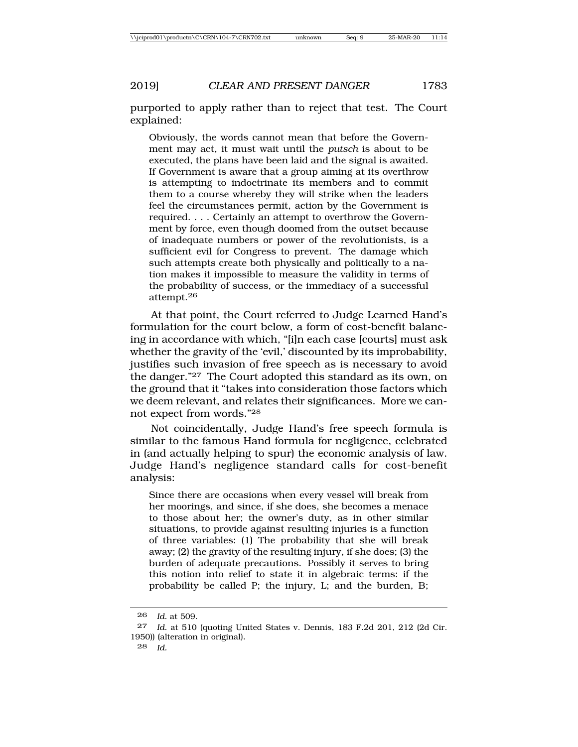purported to apply rather than to reject that test. The Court explained:

Obviously, the words cannot mean that before the Government may act, it must wait until the *putsch* is about to be executed, the plans have been laid and the signal is awaited. If Government is aware that a group aiming at its overthrow is attempting to indoctrinate its members and to commit them to a course whereby they will strike when the leaders feel the circumstances permit, action by the Government is required. . . . Certainly an attempt to overthrow the Government by force, even though doomed from the outset because of inadequate numbers or power of the revolutionists, is a sufficient evil for Congress to prevent. The damage which such attempts create both physically and politically to a nation makes it impossible to measure the validity in terms of the probability of success, or the immediacy of a successful attempt.26

At that point, the Court referred to Judge Learned Hand's formulation for the court below, a form of cost-benefit balancing in accordance with which, "[i]n each case [courts] must ask whether the gravity of the 'evil,' discounted by its improbability, justifies such invasion of free speech as is necessary to avoid the danger."27 The Court adopted this standard as its own, on the ground that it "takes into consideration those factors which we deem relevant, and relates their significances. More we cannot expect from words."28

Not coincidentally, Judge Hand's free speech formula is similar to the famous Hand formula for negligence, celebrated in (and actually helping to spur) the economic analysis of law. Judge Hand's negligence standard calls for cost-benefit analysis:

Since there are occasions when every vessel will break from her moorings, and since, if she does, she becomes a menace to those about her; the owner's duty, as in other similar situations, to provide against resulting injuries is a function of three variables: (1) The probability that she will break away; (2) the gravity of the resulting injury, if she does; (3) the burden of adequate precautions. Possibly it serves to bring this notion into relief to state it in algebraic terms: if the probability be called P; the injury, L; and the burden, B;

<sup>26</sup> *Id.* at 509.

<sup>27</sup> *Id.* at 510 (quoting United States v. Dennis, 183 F.2d 201, 212 (2d Cir. 1950)) (alteration in original).

<sup>28</sup> *Id.*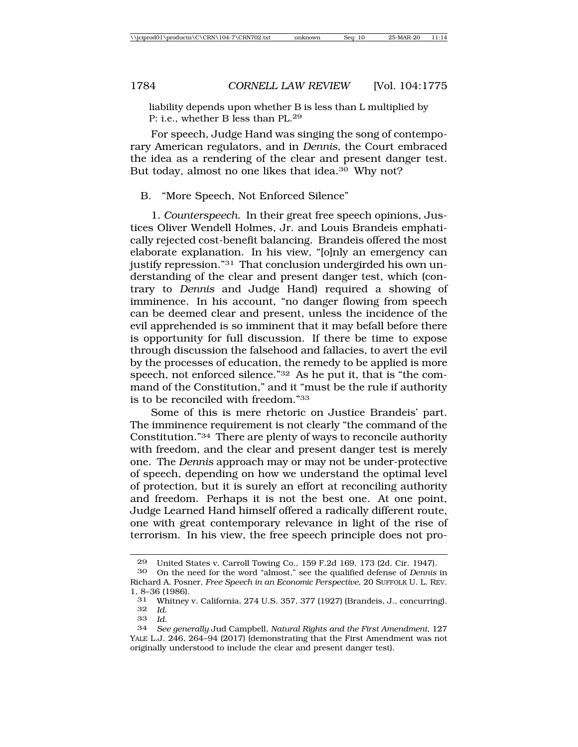liability depends upon whether B is less than L multiplied by P: i.e., whether B less than PL.<sup>29</sup>

For speech, Judge Hand was singing the song of contemporary American regulators, and in *Dennis*, the Court embraced the idea as a rendering of the clear and present danger test. But today, almost no one likes that idea.30 Why not?

## B. "More Speech, Not Enforced Silence"

1. *Counterspeech*. In their great free speech opinions, Justices Oliver Wendell Holmes, Jr. and Louis Brandeis emphatically rejected cost-benefit balancing. Brandeis offered the most elaborate explanation. In his view, "[o]nly an emergency can justify repression."<sup>31</sup> That conclusion undergirded his own understanding of the clear and present danger test, which (contrary to *Dennis* and Judge Hand) required a showing of imminence. In his account, "no danger flowing from speech can be deemed clear and present, unless the incidence of the evil apprehended is so imminent that it may befall before there is opportunity for full discussion. If there be time to expose through discussion the falsehood and fallacies, to avert the evil by the processes of education, the remedy to be applied is more speech, not enforced silence."32 As he put it, that is "the command of the Constitution," and it "must be the rule if authority is to be reconciled with freedom."33

Some of this is mere rhetoric on Justice Brandeis' part. The imminence requirement is not clearly "the command of the Constitution."34 There are plenty of ways to reconcile authority with freedom, and the clear and present danger test is merely one. The *Dennis* approach may or may not be under-protective of speech, depending on how we understand the optimal level of protection, but it is surely an effort at reconciling authority and freedom. Perhaps it is not the best one. At one point, Judge Learned Hand himself offered a radically different route, one with great contemporary relevance in light of the rise of terrorism. In his view, the free speech principle does not pro-

<sup>29</sup> United States v. Carroll Towing Co., 159 F.2d 169, 173 (2d. Cir. 1947).

<sup>30</sup> On the need for the word "almost," see the qualified defense of *Dennis* in Richard A. Posner, *Free Speech in an Economic Perspective*, 20 SUFFOLK U. L. REV. 1, 8–36 (1986).<br>31 Whitney

<sup>31</sup> Whitney v. California, 274 U.S. 357, 377 (1927) (Brandeis, J., concurring). 32 *Id.*

<sup>33</sup> *Id.*

<sup>34</sup> *See generally* Jud Campbell, *Natural Rights and the First Amendment*, 127 YALE L.J. 246, 264–94 (2017) (demonstrating that the First Amendment was not originally understood to include the clear and present danger test).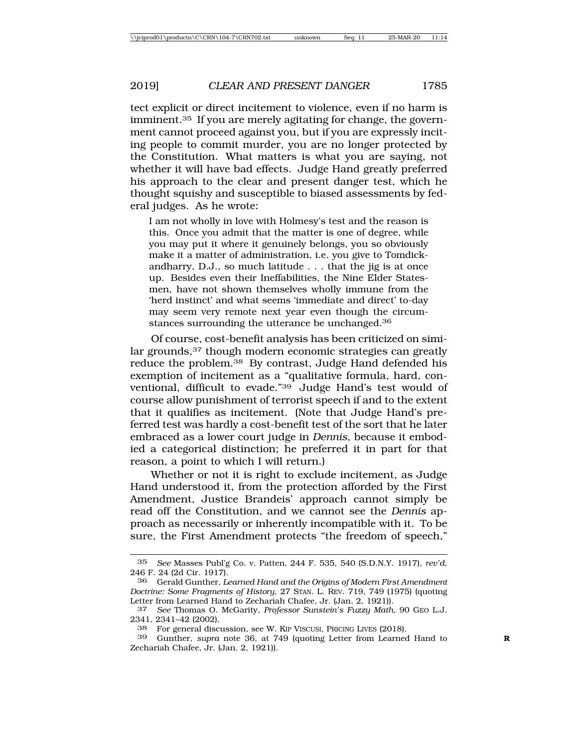tect explicit or direct incitement to violence, even if no harm is imminent.35 If you are merely agitating for change, the government cannot proceed against you, but if you are expressly inciting people to commit murder, you are no longer protected by the Constitution. What matters is what you are saying, not whether it will have bad effects. Judge Hand greatly preferred his approach to the clear and present danger test, which he thought squishy and susceptible to biased assessments by federal judges. As he wrote:

I am not wholly in love with Holmesy's test and the reason is this. Once you admit that the matter is one of degree, while you may put it where it genuinely belongs, you so obviously make it a matter of administration, i.e. you give to Tomdickandharry, D.J., so much latitude . . . that the jig is at once up. Besides even their Ineffabilities, the Nine Elder Statesmen, have not shown themselves wholly immune from the 'herd instinct' and what seems 'immediate and direct' to-day may seem very remote next year even though the circumstances surrounding the utterance be unchanged.<sup>36</sup>

Of course, cost-benefit analysis has been criticized on similar grounds,37 though modern economic strategies can greatly reduce the problem.38 By contrast, Judge Hand defended his exemption of incitement as a "qualitative formula, hard, conventional, difficult to evade."39 Judge Hand's test would of course allow punishment of terrorist speech if and to the extent that it qualifies as incitement. (Note that Judge Hand's preferred test was hardly a cost-benefit test of the sort that he later embraced as a lower court judge in *Dennis*, because it embodied a categorical distinction; he preferred it in part for that reason, a point to which I will return.)

Whether or not it is right to exclude incitement, as Judge Hand understood it, from the protection afforded by the First Amendment, Justice Brandeis' approach cannot simply be read off the Constitution, and we cannot see the *Dennis* approach as necessarily or inherently incompatible with it. To be sure, the First Amendment protects "the freedom of speech,"

<sup>35</sup> *See* Masses Publ'g Co. v. Patten, 244 F. 535, 540 (S.D.N.Y. 1917), *rev'd*, 246 F. 24 (2d Cir. 1917).

<sup>36</sup> Gerald Gunther, *Learned Hand and the Origins of Modern First Amendment Doctrine: Some Fragments of History*, 27 STAN. L. REV. 719, 749 (1975) (quoting Letter from Learned Hand to Zechariah Chafee, Jr. (Jan. 2, 1921)).

<sup>37</sup> *See* Thomas O. McGarity, *Professor Sunstein's Fuzzy Math*, 90 GEO L.J. 2341, 2341–42 (2002).

<sup>38</sup> For general discussion, see W. KIP VISCUSI, PRICING LIVES (2018).

<sup>39</sup> Gunther, *supra* note 36, at 749 (quoting Letter from Learned Hand to **R** Zechariah Chafee, Jr. (Jan. 2, 1921)).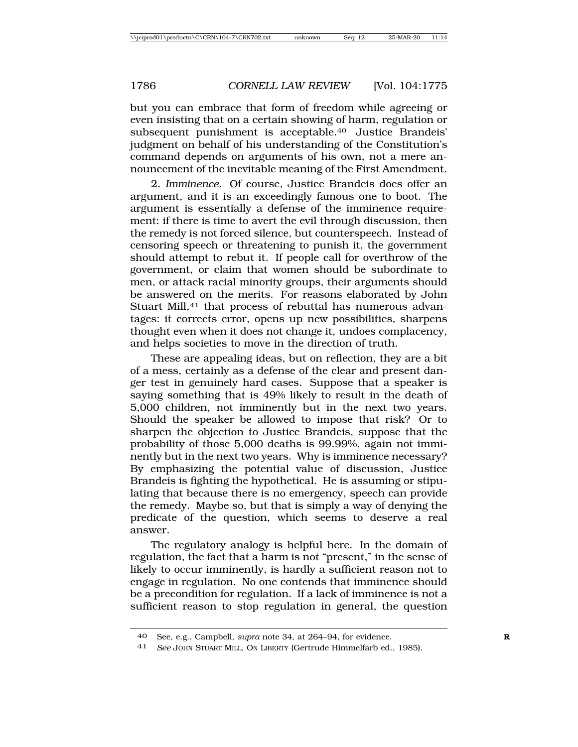but you can embrace that form of freedom while agreeing or even insisting that on a certain showing of harm, regulation or subsequent punishment is acceptable.40 Justice Brandeis' judgment on behalf of his understanding of the Constitution's command depends on arguments of his own, not a mere announcement of the inevitable meaning of the First Amendment.

2*. Imminence*. Of course, Justice Brandeis does offer an argument, and it is an exceedingly famous one to boot. The argument is essentially a defense of the imminence requirement: if there is time to avert the evil through discussion, then the remedy is not forced silence, but counterspeech. Instead of censoring speech or threatening to punish it, the government should attempt to rebut it. If people call for overthrow of the government, or claim that women should be subordinate to men, or attack racial minority groups, their arguments should be answered on the merits. For reasons elaborated by John Stuart Mill,<sup>41</sup> that process of rebuttal has numerous advantages: it corrects error, opens up new possibilities, sharpens thought even when it does not change it, undoes complacency, and helps societies to move in the direction of truth.

These are appealing ideas, but on reflection, they are a bit of a mess, certainly as a defense of the clear and present danger test in genuinely hard cases. Suppose that a speaker is saying something that is 49% likely to result in the death of 5,000 children, not imminently but in the next two years. Should the speaker be allowed to impose that risk? Or to sharpen the objection to Justice Brandeis, suppose that the probability of those 5,000 deaths is 99.99%, again not imminently but in the next two years. Why is imminence necessary? By emphasizing the potential value of discussion, Justice Brandeis is fighting the hypothetical. He is assuming or stipulating that because there is no emergency, speech can provide the remedy. Maybe so, but that is simply a way of denying the predicate of the question, which seems to deserve a real answer.

The regulatory analogy is helpful here. In the domain of regulation, the fact that a harm is not "present," in the sense of likely to occur imminently, is hardly a sufficient reason not to engage in regulation. No one contends that imminence should be a precondition for regulation. If a lack of imminence is not a sufficient reason to stop regulation in general, the question

<sup>40</sup> See, e.g., Campbell, *supra* note 34, at 264–94, for evidence. **R**

<sup>41</sup> *See* JOHN STUART MILL, ON LIBERTY (Gertrude Himmelfarb ed., 1985).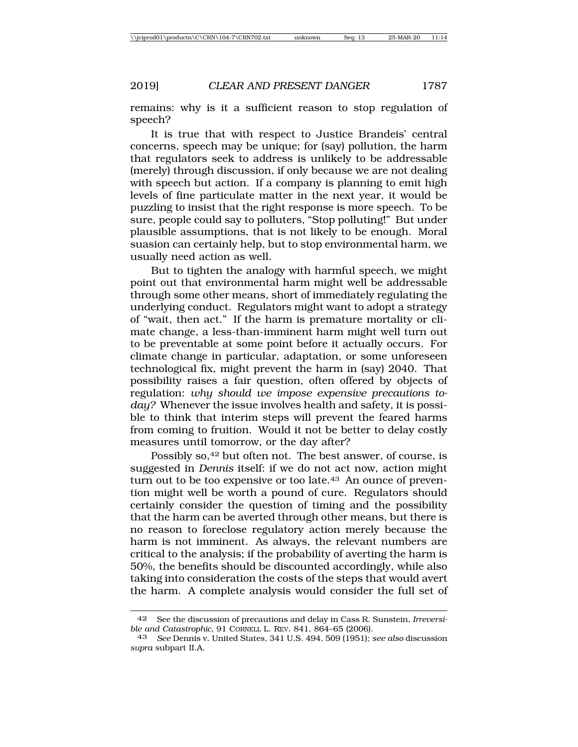remains: why is it a sufficient reason to stop regulation of speech?

It is true that with respect to Justice Brandeis' central concerns, speech may be unique; for (say) pollution, the harm that regulators seek to address is unlikely to be addressable (merely) through discussion, if only because we are not dealing with speech but action. If a company is planning to emit high levels of fine particulate matter in the next year, it would be puzzling to insist that the right response is more speech. To be sure, people could say to polluters, "Stop polluting!" But under plausible assumptions, that is not likely to be enough. Moral suasion can certainly help, but to stop environmental harm, we usually need action as well.

But to tighten the analogy with harmful speech, we might point out that environmental harm might well be addressable through some other means, short of immediately regulating the underlying conduct. Regulators might want to adopt a strategy of "wait, then act." If the harm is premature mortality or climate change, a less-than-imminent harm might well turn out to be preventable at some point before it actually occurs. For climate change in particular, adaptation, or some unforeseen technological fix, might prevent the harm in (say) 2040. That possibility raises a fair question, often offered by objects of regulation: *why should we impose expensive precautions today?* Whenever the issue involves health and safety, it is possible to think that interim steps will prevent the feared harms from coming to fruition. Would it not be better to delay costly measures until tomorrow, or the day after?

Possibly so,<sup>42</sup> but often not. The best answer, of course, is suggested in *Dennis* itself: if we do not act now, action might turn out to be too expensive or too late.43 An ounce of prevention might well be worth a pound of cure. Regulators should certainly consider the question of timing and the possibility that the harm can be averted through other means, but there is no reason to foreclose regulatory action merely because the harm is not imminent. As always, the relevant numbers are critical to the analysis; if the probability of averting the harm is 50%, the benefits should be discounted accordingly, while also taking into consideration the costs of the steps that would avert the harm. A complete analysis would consider the full set of

<sup>42</sup> See the discussion of precautions and delay in Cass R. Sunstein, *Irreversible and Catastrophic*, 91 CORNELL L. REV. 841, 864–65 (2006).

<sup>43</sup> *See* Dennis v. United States, 341 U.S. 494, 509 (1951); *see also* discussion *supra* subpart II.A.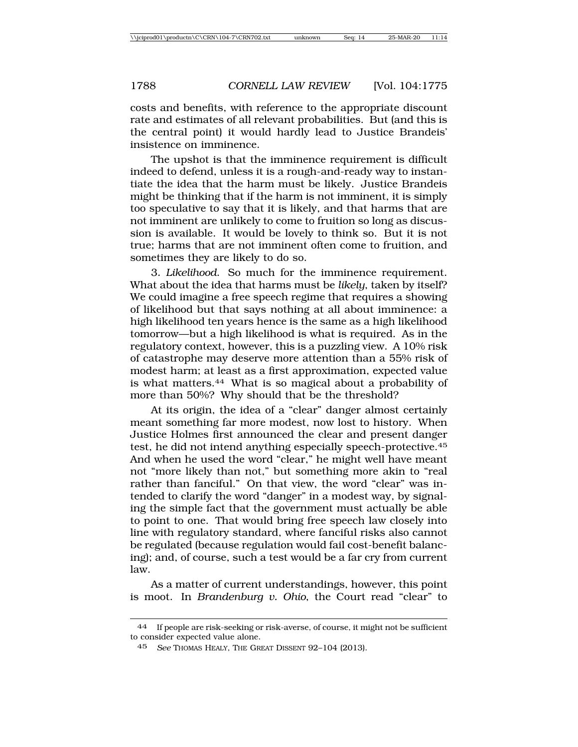costs and benefits, with reference to the appropriate discount rate and estimates of all relevant probabilities. But (and this is the central point) it would hardly lead to Justice Brandeis' insistence on imminence.

The upshot is that the imminence requirement is difficult indeed to defend, unless it is a rough-and-ready way to instantiate the idea that the harm must be likely. Justice Brandeis might be thinking that if the harm is not imminent, it is simply too speculative to say that it is likely, and that harms that are not imminent are unlikely to come to fruition so long as discussion is available. It would be lovely to think so. But it is not true; harms that are not imminent often come to fruition, and sometimes they are likely to do so.

3*. Likelihood*. So much for the imminence requirement. What about the idea that harms must be *likely*, taken by itself? We could imagine a free speech regime that requires a showing of likelihood but that says nothing at all about imminence: a high likelihood ten years hence is the same as a high likelihood tomorrow—but a high likelihood is what is required. As in the regulatory context, however, this is a puzzling view. A 10% risk of catastrophe may deserve more attention than a 55% risk of modest harm; at least as a first approximation, expected value is what matters.44 What is so magical about a probability of more than 50%? Why should that be the threshold?

At its origin, the idea of a "clear" danger almost certainly meant something far more modest, now lost to history. When Justice Holmes first announced the clear and present danger test, he did not intend anything especially speech-protective.45 And when he used the word "clear," he might well have meant not "more likely than not," but something more akin to "real rather than fanciful." On that view, the word "clear" was intended to clarify the word "danger" in a modest way, by signaling the simple fact that the government must actually be able to point to one. That would bring free speech law closely into line with regulatory standard, where fanciful risks also cannot be regulated (because regulation would fail cost-benefit balancing); and, of course, such a test would be a far cry from current law.

As a matter of current understandings, however, this point is moot. In *Brandenburg v. Ohio*, the Court read "clear" to

<sup>44</sup> If people are risk-seeking or risk-averse, of course, it might not be sufficient to consider expected value alone.

<sup>45</sup> *See* THOMAS HEALY, THE GREAT DISSENT 92–104 (2013).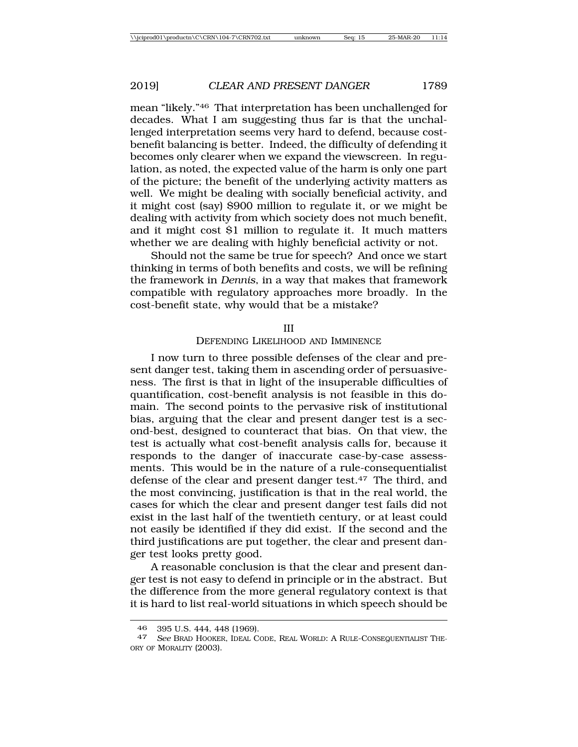mean "likely."46 That interpretation has been unchallenged for decades. What I am suggesting thus far is that the unchallenged interpretation seems very hard to defend, because costbenefit balancing is better. Indeed, the difficulty of defending it becomes only clearer when we expand the viewscreen. In regulation, as noted, the expected value of the harm is only one part of the picture; the benefit of the underlying activity matters as well. We might be dealing with socially beneficial activity, and it might cost (say) \$900 million to regulate it, or we might be dealing with activity from which society does not much benefit, and it might cost \$1 million to regulate it. It much matters whether we are dealing with highly beneficial activity or not.

Should not the same be true for speech? And once we start thinking in terms of both benefits and costs, we will be refining the framework in *Dennis*, in a way that makes that framework compatible with regulatory approaches more broadly. In the cost-benefit state, why would that be a mistake?

#### III

### DEFENDING LIKELIHOOD AND IMMINENCE

I now turn to three possible defenses of the clear and present danger test, taking them in ascending order of persuasiveness. The first is that in light of the insuperable difficulties of quantification, cost-benefit analysis is not feasible in this domain. The second points to the pervasive risk of institutional bias, arguing that the clear and present danger test is a second-best, designed to counteract that bias. On that view, the test is actually what cost-benefit analysis calls for, because it responds to the danger of inaccurate case-by-case assessments. This would be in the nature of a rule-consequentialist defense of the clear and present danger test.<sup>47</sup> The third, and the most convincing, justification is that in the real world, the cases for which the clear and present danger test fails did not exist in the last half of the twentieth century, or at least could not easily be identified if they did exist. If the second and the third justifications are put together, the clear and present danger test looks pretty good.

A reasonable conclusion is that the clear and present danger test is not easy to defend in principle or in the abstract. But the difference from the more general regulatory context is that it is hard to list real-world situations in which speech should be

<sup>46</sup> 395 U.S. 444, 448 (1969). <sup>47</sup> *See* BRAD HOOKER, IDEAL CODE, REAL WORLD: A RULE-CONSEQUENTIALIST THE-ORY OF MORALITY (2003).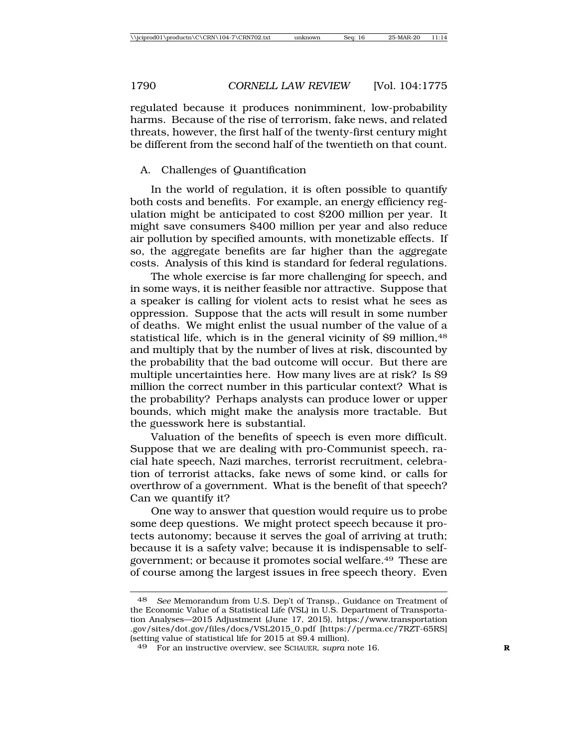regulated because it produces nonimminent, low-probability harms. Because of the rise of terrorism, fake news, and related threats, however, the first half of the twenty-first century might be different from the second half of the twentieth on that count.

# A. Challenges of Quantification

In the world of regulation, it is often possible to quantify both costs and benefits. For example, an energy efficiency regulation might be anticipated to cost \$200 million per year. It might save consumers \$400 million per year and also reduce air pollution by specified amounts, with monetizable effects. If so, the aggregate benefits are far higher than the aggregate costs. Analysis of this kind is standard for federal regulations.

The whole exercise is far more challenging for speech, and in some ways, it is neither feasible nor attractive. Suppose that a speaker is calling for violent acts to resist what he sees as oppression. Suppose that the acts will result in some number of deaths. We might enlist the usual number of the value of a statistical life, which is in the general vicinity of \$9 million, 48 and multiply that by the number of lives at risk, discounted by the probability that the bad outcome will occur. But there are multiple uncertainties here. How many lives are at risk? Is \$9 million the correct number in this particular context? What is the probability? Perhaps analysts can produce lower or upper bounds, which might make the analysis more tractable. But the guesswork here is substantial.

Valuation of the benefits of speech is even more difficult. Suppose that we are dealing with pro-Communist speech, racial hate speech, Nazi marches, terrorist recruitment, celebration of terrorist attacks, fake news of some kind, or calls for overthrow of a government. What is the benefit of that speech? Can we quantify it?

One way to answer that question would require us to probe some deep questions. We might protect speech because it protects autonomy; because it serves the goal of arriving at truth; because it is a safety valve; because it is indispensable to selfgovernment; or because it promotes social welfare.49 These are of course among the largest issues in free speech theory. Even

<sup>48</sup> *See* Memorandum from U.S. Dep't of Transp., Guidance on Treatment of the Economic Value of a Statistical Life (VSL) in U.S. Department of Transportation Analyses—2015 Adjustment (June 17, 2015), https://www.transportation .gov/sites/dot.gov/files/docs/VSL2015\_0.pdf [https://perma.cc/7RZT-65RS] (setting value of statistical life for 2015 at \$9.4 million).

<sup>49</sup> For an instructive overview, see SCHAUER, *supra* note 16. **R**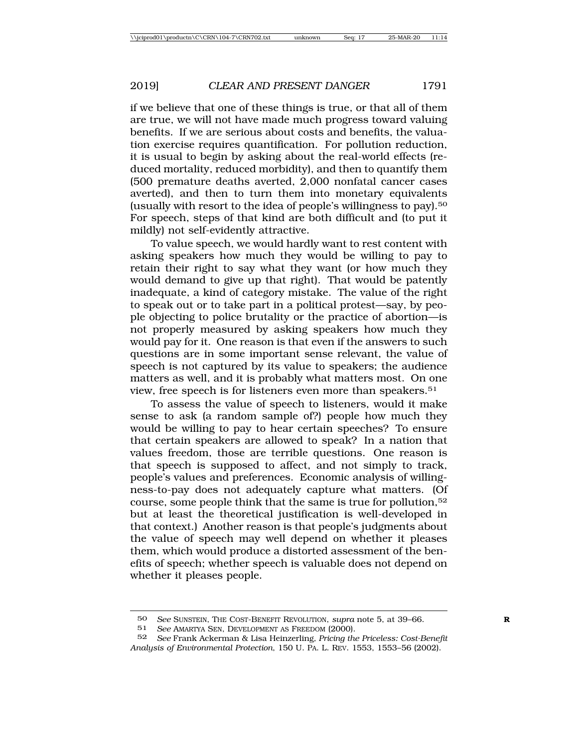if we believe that one of these things is true, or that all of them are true, we will not have made much progress toward valuing benefits. If we are serious about costs and benefits, the valuation exercise requires quantification. For pollution reduction, it is usual to begin by asking about the real-world effects (reduced mortality, reduced morbidity), and then to quantify them (500 premature deaths averted, 2,000 nonfatal cancer cases averted), and then to turn them into monetary equivalents (usually with resort to the idea of people's willingness to pay).50 For speech, steps of that kind are both difficult and (to put it mildly) not self-evidently attractive.

To value speech, we would hardly want to rest content with asking speakers how much they would be willing to pay to retain their right to say what they want (or how much they would demand to give up that right). That would be patently inadequate, a kind of category mistake. The value of the right to speak out or to take part in a political protest—say, by people objecting to police brutality or the practice of abortion—is not properly measured by asking speakers how much they would pay for it. One reason is that even if the answers to such questions are in some important sense relevant, the value of speech is not captured by its value to speakers; the audience matters as well, and it is probably what matters most. On one view, free speech is for listeners even more than speakers.51

To assess the value of speech to listeners, would it make sense to ask (a random sample of?) people how much they would be willing to pay to hear certain speeches? To ensure that certain speakers are allowed to speak? In a nation that values freedom, those are terrible questions. One reason is that speech is supposed to affect, and not simply to track, people's values and preferences. Economic analysis of willingness-to-pay does not adequately capture what matters. (Of course, some people think that the same is true for pollution,52 but at least the theoretical justification is well-developed in that context.) Another reason is that people's judgments about the value of speech may well depend on whether it pleases them, which would produce a distorted assessment of the benefits of speech; whether speech is valuable does not depend on whether it pleases people.

<sup>50</sup> *See* SUNSTEIN, THE COST-BENEFIT REVOLUTION, *supra* note 5, at 39–66.<br>51 *See* AMARTYA SEN DEVELOPMENT AS FREEDOM (2000)

See AMARTYA SEN, DEVELOPMENT AS FREEDOM (2000).

<sup>52</sup> *See* Frank Ackerman & Lisa Heinzerling*, Pricing the Priceless: Cost-Benefit Analysis of Environmental Protection*, 150 U. PA. L. REV. 1553, 1553–56 (2002).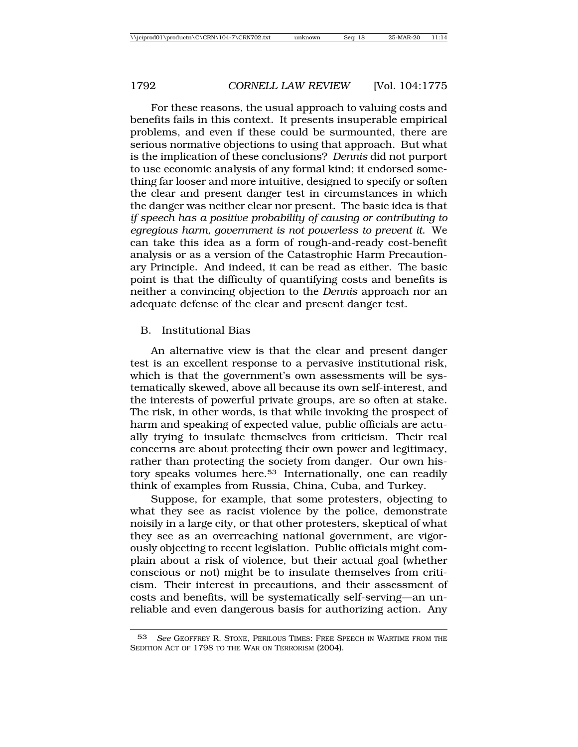For these reasons, the usual approach to valuing costs and benefits fails in this context. It presents insuperable empirical problems, and even if these could be surmounted, there are serious normative objections to using that approach. But what is the implication of these conclusions? *Dennis* did not purport to use economic analysis of any formal kind; it endorsed something far looser and more intuitive, designed to specify or soften the clear and present danger test in circumstances in which the danger was neither clear nor present. The basic idea is that *if speech has a positive probability of causing or contributing to egregious harm, government is not powerless to prevent it*. We can take this idea as a form of rough-and-ready cost-benefit analysis or as a version of the Catastrophic Harm Precautionary Principle. And indeed, it can be read as either. The basic point is that the difficulty of quantifying costs and benefits is neither a convincing objection to the *Dennis* approach nor an adequate defense of the clear and present danger test.

## B. Institutional Bias

An alternative view is that the clear and present danger test is an excellent response to a pervasive institutional risk, which is that the government's own assessments will be systematically skewed, above all because its own self-interest, and the interests of powerful private groups, are so often at stake. The risk, in other words, is that while invoking the prospect of harm and speaking of expected value, public officials are actually trying to insulate themselves from criticism. Their real concerns are about protecting their own power and legitimacy, rather than protecting the society from danger. Our own history speaks volumes here.53 Internationally, one can readily think of examples from Russia, China, Cuba, and Turkey.

Suppose, for example, that some protesters, objecting to what they see as racist violence by the police, demonstrate noisily in a large city, or that other protesters, skeptical of what they see as an overreaching national government, are vigorously objecting to recent legislation. Public officials might complain about a risk of violence, but their actual goal (whether conscious or not) might be to insulate themselves from criticism. Their interest in precautions, and their assessment of costs and benefits, will be systematically self-serving—an unreliable and even dangerous basis for authorizing action. Any

<sup>53</sup> *See* GEOFFREY R. STONE, PERILOUS TIMES: FREE SPEECH IN WARTIME FROM THE SEDITION ACT OF 1798 TO THE WAR ON TERRORISM (2004).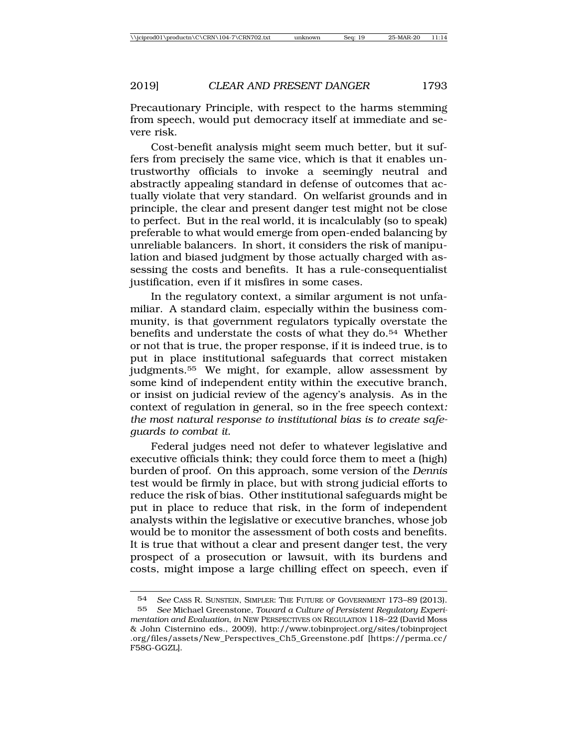Precautionary Principle, with respect to the harms stemming from speech, would put democracy itself at immediate and severe risk.

Cost-benefit analysis might seem much better, but it suffers from precisely the same vice, which is that it enables untrustworthy officials to invoke a seemingly neutral and abstractly appealing standard in defense of outcomes that actually violate that very standard. On welfarist grounds and in principle, the clear and present danger test might not be close to perfect. But in the real world, it is incalculably (so to speak) preferable to what would emerge from open-ended balancing by unreliable balancers. In short, it considers the risk of manipulation and biased judgment by those actually charged with assessing the costs and benefits. It has a rule-consequentialist justification, even if it misfires in some cases.

In the regulatory context, a similar argument is not unfamiliar. A standard claim, especially within the business community, is that government regulators typically overstate the benefits and understate the costs of what they do.54 Whether or not that is true, the proper response, if it is indeed true, is to put in place institutional safeguards that correct mistaken judgments.55 We might, for example, allow assessment by some kind of independent entity within the executive branch, or insist on judicial review of the agency's analysis. As in the context of regulation in general, so in the free speech context*: the most natural response to institutional bias is to create safeguards to combat it*.

Federal judges need not defer to whatever legislative and executive officials think; they could force them to meet a (high) burden of proof. On this approach, some version of the *Dennis* test would be firmly in place, but with strong judicial efforts to reduce the risk of bias. Other institutional safeguards might be put in place to reduce that risk, in the form of independent analysts within the legislative or executive branches, whose job would be to monitor the assessment of both costs and benefits. It is true that without a clear and present danger test, the very prospect of a prosecution or lawsuit, with its burdens and costs, might impose a large chilling effect on speech, even if

<sup>54</sup> *See* CASS R. SUNSTEIN, SIMPLER: THE FUTURE OF GOVERNMENT 173–89 (2013). 55 *See* Michael Greenstone, *Toward a Culture of Persistent Regulatory Experimentation and Evaluation*, *in* NEW PERSPECTIVES ON REGULATION 118–22 (David Moss & John Cisternino eds., 2009), http://www.tobinproject.org/sites/tobinproject .org/files/assets/New\_Perspectives\_Ch5\_Greenstone.pdf [https://perma.cc/ F58G-GGZL].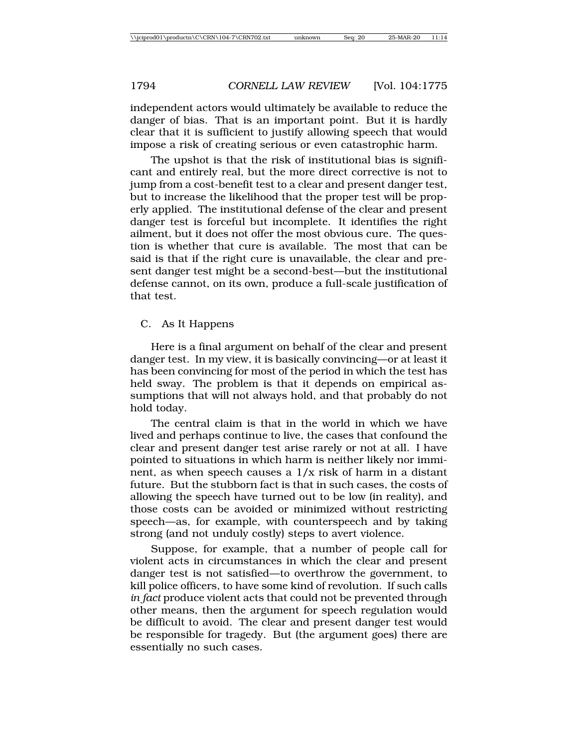independent actors would ultimately be available to reduce the danger of bias. That is an important point. But it is hardly clear that it is sufficient to justify allowing speech that would impose a risk of creating serious or even catastrophic harm.

The upshot is that the risk of institutional bias is significant and entirely real, but the more direct corrective is not to jump from a cost-benefit test to a clear and present danger test, but to increase the likelihood that the proper test will be properly applied. The institutional defense of the clear and present danger test is forceful but incomplete. It identifies the right ailment, but it does not offer the most obvious cure. The question is whether that cure is available. The most that can be said is that if the right cure is unavailable, the clear and present danger test might be a second-best—but the institutional defense cannot, on its own, produce a full-scale justification of that test.

# C. As It Happens

Here is a final argument on behalf of the clear and present danger test. In my view, it is basically convincing—or at least it has been convincing for most of the period in which the test has held sway. The problem is that it depends on empirical assumptions that will not always hold, and that probably do not hold today.

The central claim is that in the world in which we have lived and perhaps continue to live, the cases that confound the clear and present danger test arise rarely or not at all. I have pointed to situations in which harm is neither likely nor imminent, as when speech causes a 1/x risk of harm in a distant future. But the stubborn fact is that in such cases, the costs of allowing the speech have turned out to be low (in reality), and those costs can be avoided or minimized without restricting speech—as, for example, with counterspeech and by taking strong (and not unduly costly) steps to avert violence.

Suppose, for example, that a number of people call for violent acts in circumstances in which the clear and present danger test is not satisfied—to overthrow the government, to kill police officers, to have some kind of revolution. If such calls *in fact* produce violent acts that could not be prevented through other means, then the argument for speech regulation would be difficult to avoid. The clear and present danger test would be responsible for tragedy. But (the argument goes) there are essentially no such cases.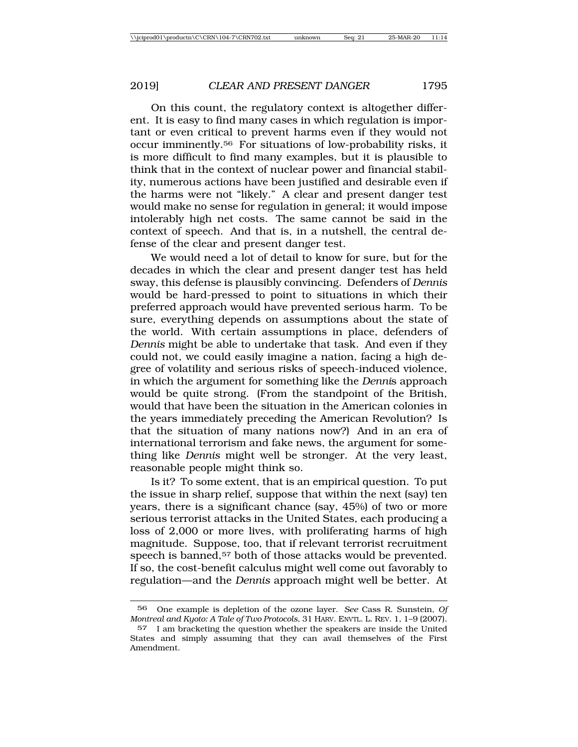On this count, the regulatory context is altogether different. It is easy to find many cases in which regulation is important or even critical to prevent harms even if they would not occur imminently.56 For situations of low-probability risks, it is more difficult to find many examples, but it is plausible to think that in the context of nuclear power and financial stability, numerous actions have been justified and desirable even if the harms were not "likely." A clear and present danger test would make no sense for regulation in general; it would impose intolerably high net costs. The same cannot be said in the context of speech. And that is, in a nutshell, the central defense of the clear and present danger test.

We would need a lot of detail to know for sure, but for the decades in which the clear and present danger test has held sway, this defense is plausibly convincing. Defenders of *Dennis* would be hard-pressed to point to situations in which their preferred approach would have prevented serious harm. To be sure, everything depends on assumptions about the state of the world. With certain assumptions in place, defenders of *Dennis* might be able to undertake that task. And even if they could not, we could easily imagine a nation, facing a high degree of volatility and serious risks of speech-induced violence, in which the argument for something like the *Denni*s approach would be quite strong. (From the standpoint of the British, would that have been the situation in the American colonies in the years immediately preceding the American Revolution? Is that the situation of many nations now?) And in an era of international terrorism and fake news, the argument for something like *Dennis* might well be stronger. At the very least, reasonable people might think so.

Is it? To some extent, that is an empirical question. To put the issue in sharp relief, suppose that within the next (say) ten years, there is a significant chance (say, 45%) of two or more serious terrorist attacks in the United States, each producing a loss of 2,000 or more lives, with proliferating harms of high magnitude. Suppose, too, that if relevant terrorist recruitment speech is banned,<sup>57</sup> both of those attacks would be prevented. If so, the cost-benefit calculus might well come out favorably to regulation—and the *Dennis* approach might well be better. At

<sup>56</sup> One example is depletion of the ozone layer. *See* Cass R. Sunstein, *Of Montreal and Kyoto: A Tale of Two Protocols*, 31 HARV. ENVTL. L. REV. 1, 1–9 (2007).

<sup>57</sup> I am bracketing the question whether the speakers are inside the United States and simply assuming that they can avail themselves of the First Amendment.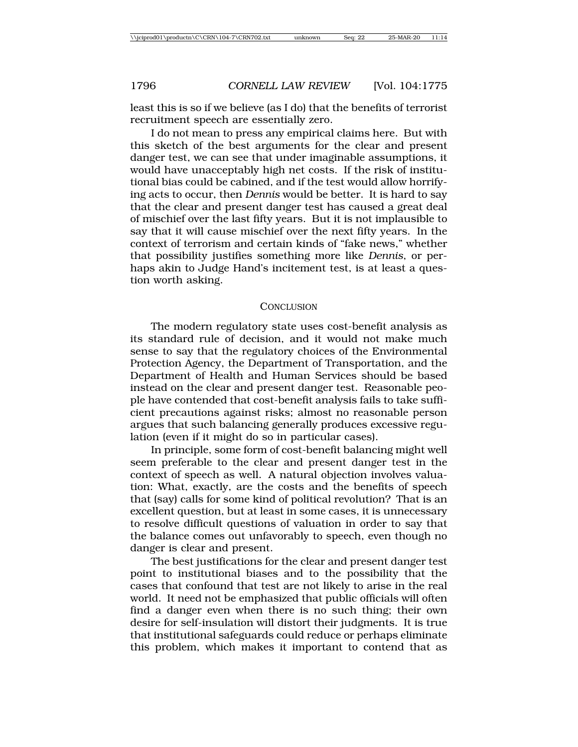least this is so if we believe (as I do) that the benefits of terrorist recruitment speech are essentially zero.

I do not mean to press any empirical claims here. But with this sketch of the best arguments for the clear and present danger test, we can see that under imaginable assumptions, it would have unacceptably high net costs. If the risk of institutional bias could be cabined, and if the test would allow horrifying acts to occur, then *Dennis* would be better. It is hard to say that the clear and present danger test has caused a great deal of mischief over the last fifty years. But it is not implausible to say that it will cause mischief over the next fifty years. In the context of terrorism and certain kinds of "fake news," whether that possibility justifies something more like *Dennis*, or perhaps akin to Judge Hand's incitement test, is at least a question worth asking.

### **CONCLUSION**

The modern regulatory state uses cost-benefit analysis as its standard rule of decision, and it would not make much sense to say that the regulatory choices of the Environmental Protection Agency, the Department of Transportation, and the Department of Health and Human Services should be based instead on the clear and present danger test. Reasonable people have contended that cost-benefit analysis fails to take sufficient precautions against risks; almost no reasonable person argues that such balancing generally produces excessive regulation (even if it might do so in particular cases).

In principle, some form of cost-benefit balancing might well seem preferable to the clear and present danger test in the context of speech as well. A natural objection involves valuation: What, exactly, are the costs and the benefits of speech that (say) calls for some kind of political revolution? That is an excellent question, but at least in some cases, it is unnecessary to resolve difficult questions of valuation in order to say that the balance comes out unfavorably to speech, even though no danger is clear and present.

The best justifications for the clear and present danger test point to institutional biases and to the possibility that the cases that confound that test are not likely to arise in the real world. It need not be emphasized that public officials will often find a danger even when there is no such thing; their own desire for self-insulation will distort their judgments. It is true that institutional safeguards could reduce or perhaps eliminate this problem, which makes it important to contend that as